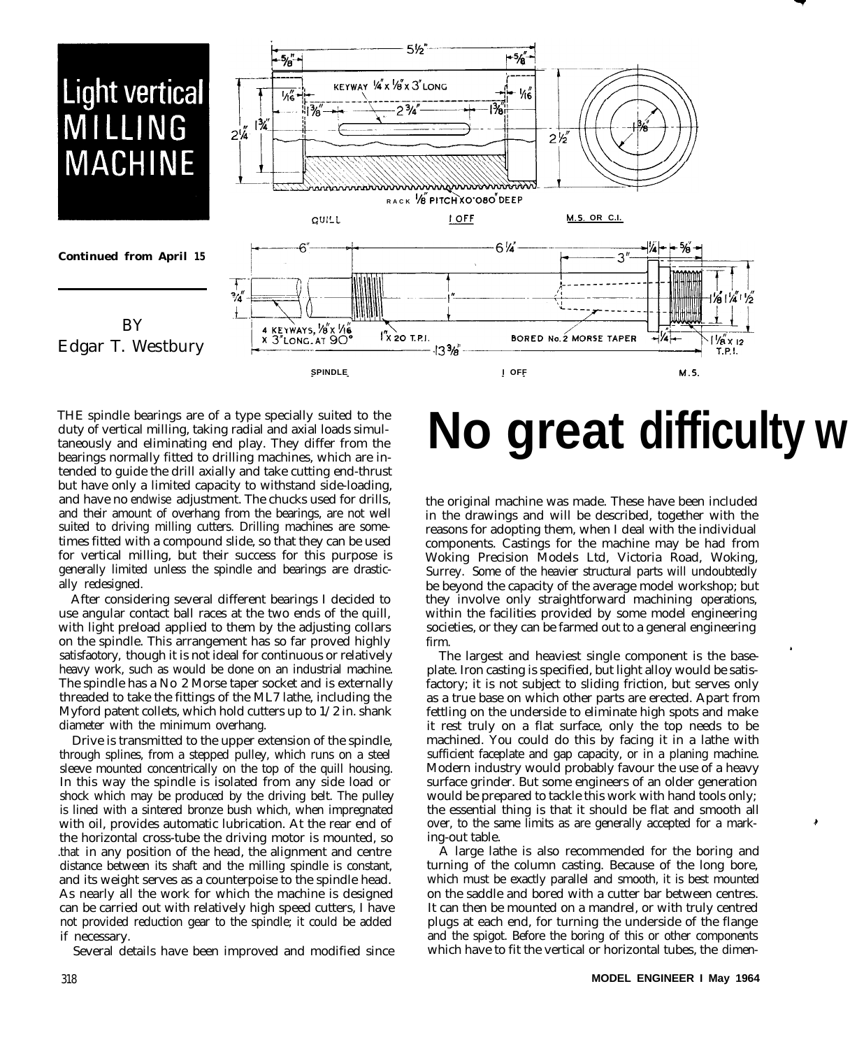

THE spindle bearings are of a type specially suited to the duty of vertical milling, taking radial and axial loads simultaneously and eliminating end play. They differ from the bearings normally fitted to drilling machines, which are intended to guide the drill axially and take cutting end-thrust but have only a limited capacity to withstand side-loading, and have no endwise adjustment. The chucks used for drills, and their amount of overhang from the bearings, are not well suited to driving milling cutters. Drilling machines are sometimes fitted with a compound slide, so that they can be used for vertical milling, but their success for this purpose is generally limited unless the spindle and bearings are drastically redesigned.

After considering several different bearings I decided to use angular contact ball races at the two ends of the quill, with light preload applied to them by the adjusting collars on the spindle. This arrangement has so far proved highly satisfaotory, though it is not ideal for continuous or relatively heavy work, such as would be done on an industrial machine. The spindle has a No 2 Morse taper socket and is externally threaded to take the fittings of the ML7 lathe, including the Myford patent collets, which hold cutters up to 1/2 in. shank diameter with the minimum overhang.

Drive is transmitted to the upper extension of the spindle, through splines, from a stepped pulley, which runs on a steel sleeve mounted concentrically on the top of the quill housing. In this way the spindle is isolated from any side load or shock which may be produced by the driving belt. The pulley is lined with a sintered bronze bush which, when impregnated with oil, provides automatic lubrication. At the rear end of the horizontal cross-tube the driving motor is mounted, so .that in any position of the head, the alignment and centre distance between its shaft and the milling spindle is constant, and its weight serves as a counterpoise to the spindle head. As nearly all the work for which the machine is designed can be carried out with relatively high speed cutters, I have not provided reduction gear to the spindle; it could be added if necessary.

Several details have been improved and modified since

# **No great difficulty w**

the original machine was made. These have been included in the drawings and will be described, together with the reasons for adopting them, when I deal with the individual components. Castings for the machine may be had from Woking Precision Models Ltd, Victoria Road, Woking, Surrey. Some of the heavier structural parts will undoubtedly be beyond the capacity of the average model workshop; but they involve only straightforward machining operations, within the facilities provided by some model engineering societies, or they can be farmed out to a general engineering firm.

The largest and heaviest single component is the baseplate. Iron casting is specified, but light alloy would be satisfactory; it is not subject to sliding friction, but serves only as a true base on which other parts are erected. Apart from fettling on the underside to eliminate high spots and make it rest truly on a flat surface, only the top needs to be machined. You could do this by facing it in a lathe with sufficient faceplate and gap capacity, or in a planing machine. Modern industry would probably favour the use of a heavy surface grinder. But some engineers of an older generation would be prepared to tackle this work with hand tools only; the essential thing is that it should be flat and smooth all over, to the same limits as are generally accepted for a marking-out table.

A large lathe is also recommended for the boring and turning of the column casting. Because of the long bore, which must be exactly parallel and smooth, it is best mounted on the saddle and bored with a cutter bar between centres. It can then be mounted on a mandrel, or with truly centred plugs at each end, for turning the underside of the flange and the spigot. Before the boring of this or other components which have to fit the vertical or horizontal tubes, the dimen-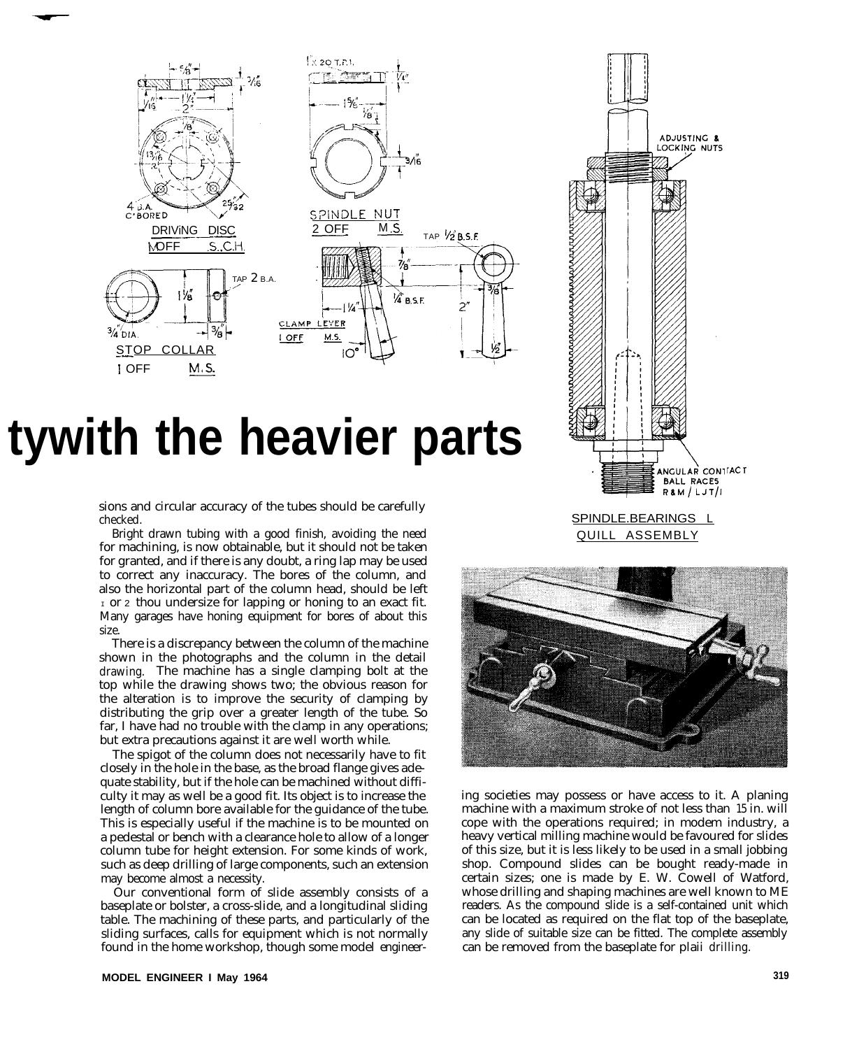

## **tywith the heavier parts**

sions and circular accuracy of the tubes should be carefully checked.

Bright drawn tubing with a good finish, avoiding the need for machining, is now obtainable, but it should not be taken for granted, and if there is any doubt, a ring lap may be used to correct any inaccuracy. The bores of the column, and also the horizontal part of the column head, should be left  $I$  or 2 thou undersize for lapping or honing to an exact fit. Many garages have honing equipment for bores of about this size.

There is a discrepancy between the column of the machine shown in the photographs and the column in the detail drawing. The machine has a single clamping bolt at the top while the drawing shows two; the obvious reason for the alteration is to improve the security of clamping by distributing the grip over a greater length of the tube. So far, I have had no trouble with the clamp in any operations; but extra precautions against it are well worth while.

The spigot of the column does not necessarily have to fit closely in the hole in the base, as the broad flange gives adequate stability, but if the hole can be machined without difficulty it may as well be a good fit. Its object is to increase the length of column bore available for the guidance of the tube. This is especially useful if the machine is to be mounted on a pedestal or bench with a clearance hole to allow of a longer column tube for height extension. For some kinds of work, such as deep drilling of large components, such an extension may become almost a necessity.

Our conventional form of slide assembly consists of a baseplate or bolster, a cross-slide, and a longitudinal sliding table. The machining of these parts, and particularly of the sliding surfaces, calls for equipment which is not normally found in the home workshop, though some model engineer-



SPINDLE.BEARINGS L QUILL ASSEMBLY



ing societies may possess or have access to it. A planing machine with a maximum stroke of not less than 15 in. will cope with the operations required; in modem industry, a heavy vertical milling machine would be favoured for slides of this size, but it is less likely to be used in a small jobbing shop. Compound slides can be bought ready-made in certain sizes; one is made by E. W. Cowell of Watford, whose drilling and shaping machines are well known to ME readers. As the compound slide is a self-contained unit which can be located as required on the flat top of the baseplate, any slide of suitable size can be fitted. The complete assembly can be removed from the baseplate for plaii drilling.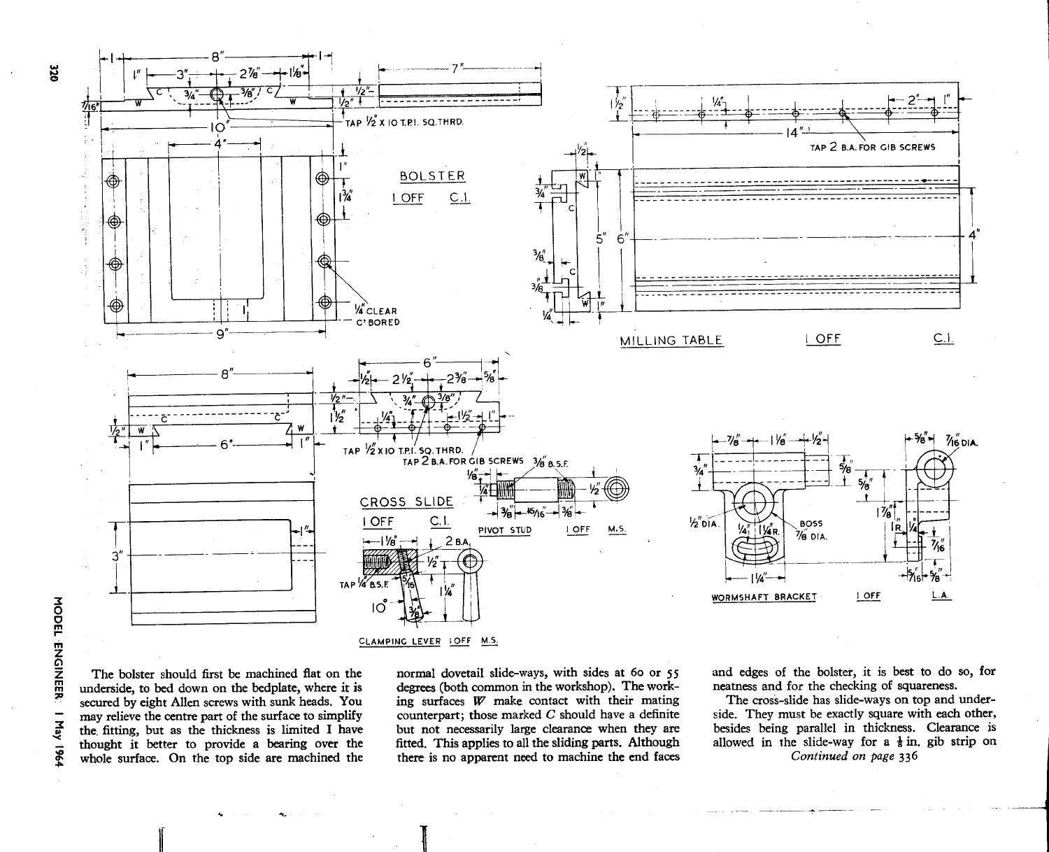

The bolster should first be machined flat on the underside, to bed down on the bedplate, where it is secured by eight Allen screws with sunk heads. You may relieve the centre part of the surface to simplify the fitting, but as the thickness is limited I have thought it better to provide a bearing over the whole surface. On the top side are machined the

 $\qquad \qquad -$ 

**May 1964** 

normal dovetail slide-ways, with sides at 60 or 55 degrees (both common in the workshop). The working surfaces W make contact with their mating counterpart; those marked  $C$  should have a definite but not necessarily large clearance when they are fitted. This applies to all the sliding parts. Although there is no apparent need to machine the end faces and edges of the bolster, it is best to do so, for neatness and for the checking of squareness.

The cross-slide has slide-ways on top and underside. They must be exactly square with each other, besides being parallel in thickness. Clearance is allowed in the slide-way for a  $\frac{1}{8}$  in. gib strip on Continued on page 336